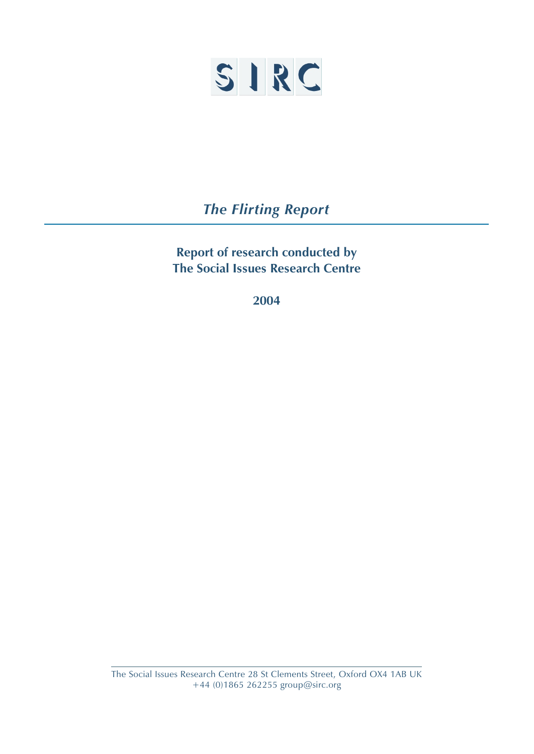

*The Flirting Report*

**Report of research conducted by The Social Issues Research Centre**

**2004**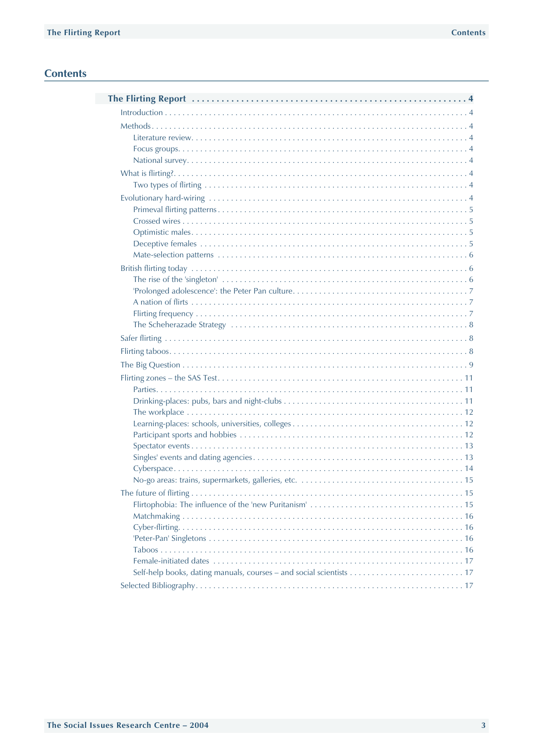# **Contents**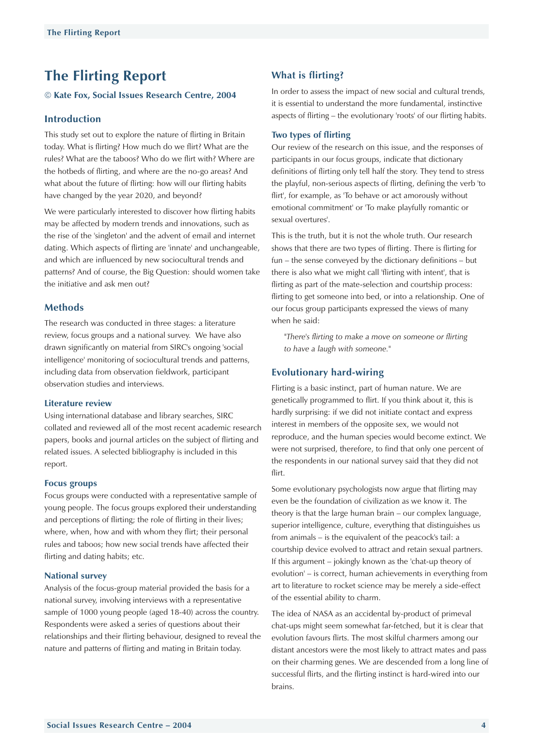# <span id="page-2-0"></span>**The Flirting Report**

**Kate Fox, Social Issues Research Centre, 2004**

# **Introduction**

This study set out to explore the nature of flirting in Britain today. What is flirting? How much do we flirt? What are the rules? What are the taboos? Who do we flirt with? Where are the hotbeds of flirting, and where are the no-go areas? And what about the future of flirting: how will our flirting habits have changed by the year 2020, and beyond?

We were particularly interested to discover how flirting habits may be affected by modern trends and innovations, such as the rise of the 'singleton' and the advent of email and internet dating. Which aspects of flirting are 'innate' and unchangeable, and which are influenced by new sociocultural trends and patterns? And of course, the Big Question: should women take the initiative and ask men out?

# **Methods**

The research was conducted in three stages: a literature review, focus groups and a national survey. We have also drawn significantly on material from SIRC's ongoing 'social intelligence' monitoring of sociocultural trends and patterns, including data from observation fieldwork, participant observation studies and interviews.

## **Literature review**

Using international database and library searches, SIRC collated and reviewed all of the most recent academic research papers, books and journal articles on the subject of flirting and related issues. A selected bibliography is included in this report.

#### **Focus groups**

Focus groups were conducted with a representative sample of young people. The focus groups explored their understanding and perceptions of flirting; the role of flirting in their lives; where, when, how and with whom they flirt; their personal rules and taboos; how new social trends have affected their flirting and dating habits; etc.

## **National survey**

Analysis of the focus-group material provided the basis for a national survey, involving interviews with a representative sample of 1000 young people (aged 18-40) across the country. Respondents were asked a series of questions about their relationships and their flirting behaviour, designed to reveal the nature and patterns of flirting and mating in Britain today.

# **What is flirting?**

In order to assess the impact of new social and cultural trends, it is essential to understand the more fundamental, instinctive aspects of flirting – the evolutionary 'roots' of our flirting habits.

## **Two types of flirting**

Our review of the research on this issue, and the responses of participants in our focus groups, indicate that dictionary definitions of flirting only tell half the story. They tend to stress the playful, non-serious aspects of flirting, defining the verb 'to flirt', for example, as 'To behave or act amorously without emotional commitment' or 'To make playfully romantic or sexual overtures'.

This is the truth, but it is not the whole truth. Our research shows that there are two types of flirting. There is flirting for fun – the sense conveyed by the dictionary definitions – but there is also what we might call 'flirting with intent', that is flirting as part of the mate-selection and courtship process: flirting to get someone into bed, or into a relationship. One of our focus group participants expressed the views of many when he said:

*"There's flirting to make a move on someone or flirting to have a laugh with someone."*

## **Evolutionary hard-wiring**

Flirting is a basic instinct, part of human nature. We are genetically programmed to flirt. If you think about it, this is hardly surprising: if we did not initiate contact and express interest in members of the opposite sex, we would not reproduce, and the human species would become extinct. We were not surprised, therefore, to find that only one percent of the respondents in our national survey said that they did not flirt.

Some evolutionary psychologists now argue that flirting may even be the foundation of civilization as we know it. The theory is that the large human brain – our complex language, superior intelligence, culture, everything that distinguishes us from animals – is the equivalent of the peacock's tail: a courtship device evolved to attract and retain sexual partners. If this argument – jokingly known as the 'chat-up theory of evolution' – is correct, human achievements in everything from art to literature to rocket science may be merely a side-effect of the essential ability to charm.

The idea of NASA as an accidental by-product of primeval chat-ups might seem somewhat far-fetched, but it is clear that evolution favours flirts. The most skilful charmers among our distant ancestors were the most likely to attract mates and pass on their charming genes. We are descended from a long line of successful flirts, and the flirting instinct is hard-wired into our brains.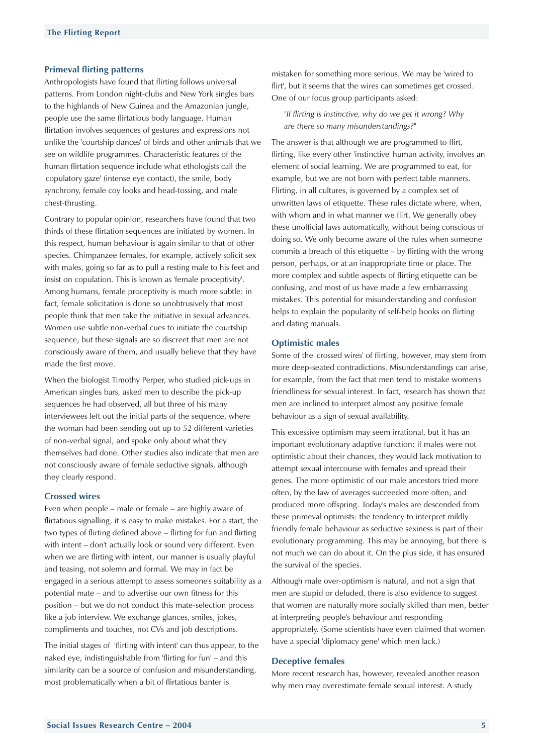#### <span id="page-3-0"></span>**Primeval flirting patterns**

Anthropologists have found that flirting follows universal patterns. From London night-clubs and New York singles bars to the highlands of New Guinea and the Amazonian jungle, people use the same flirtatious body language. Human flirtation involves sequences of gestures and expressions not unlike the 'courtship dances' of birds and other animals that we see on wildlife programmes. Characteristic features of the human flirtation sequence include what ethologists call the 'copulatory gaze' (intense eye contact), the smile, body synchrony, female coy looks and head-tossing, and male chest-thrusting.

Contrary to popular opinion, researchers have found that two thirds of these flirtation sequences are initiated by women. In this respect, human behaviour is again similar to that of other species. Chimpanzee females, for example, actively solicit sex with males, going so far as to pull a resting male to his feet and insist on copulation. This is known as 'female proceptivity'. Among humans, female proceptivity is much more subtle: in fact, female solicitation is done so unobtrusively that most people think that men take the initiative in sexual advances. Women use subtle non-verbal cues to initiate the courtship sequence, but these signals are so discreet that men are not consciously aware of them, and usually believe that they have made the first move.

When the biologist Timothy Perper, who studied pick-ups in American singles bars, asked men to describe the pick-up sequences he had observed, all but three of his many interviewees left out the initial parts of the sequence, where the woman had been sending out up to 52 different varieties of non-verbal signal, and spoke only about what they themselves had done. Other studies also indicate that men are not consciously aware of female seductive signals, although they clearly respond.

## **Crossed wires**

Even when people – male or female – are highly aware of flirtatious signalling, it is easy to make mistakes. For a start, the two types of flirting defined above – flirting for fun and flirting with intent – don't actually look or sound very different. Even when we are flirting with intent, our manner is usually playful and teasing, not solemn and formal. We may in fact be engaged in a serious attempt to assess someone's suitability as a potential mate – and to advertise our own fitness for this position – but we do not conduct this mate-selection process like a job interview. We exchange glances, smiles, jokes, compliments and touches, not CVs and job descriptions.

The initial stages of 'flirting with intent' can thus appear, to the naked eye, indistinguishable from 'flirting for fun' – and this similarity can be a source of confusion and misunderstanding, most problematically when a bit of flirtatious banter is

mistaken for something more serious. We may be 'wired to flirt', but it seems that the wires can sometimes get crossed. One of our focus group participants asked:

*"If flirting is instinctive, why do we get it wrong? Why are there so many misunderstandings?"*

The answer is that although we are programmed to flirt, flirting, like every other 'instinctive' human activity, involves an element of social learning. We are programmed to eat, for example, but we are not born with perfect table manners. Flirting, in all cultures, is governed by a complex set of unwritten laws of etiquette. These rules dictate where, when, with whom and in what manner we flirt. We generally obey these unofficial laws automatically, without being conscious of doing so. We only become aware of the rules when someone commits a breach of this etiquette – by flirting with the wrong person, perhaps, or at an inappropriate time or place. The more complex and subtle aspects of flirting etiquette can be confusing, and most of us have made a few embarrassing mistakes. This potential for misunderstanding and confusion helps to explain the popularity of self-help books on flirting and dating manuals.

## **Optimistic males**

Some of the 'crossed wires' of flirting, however, may stem from more deep-seated contradictions. Misunderstandings can arise, for example, from the fact that men tend to mistake women's friendliness for sexual interest. In fact, research has shown that men are inclined to interpret almost any positive female behaviour as a sign of sexual availability.

This excessive optimism may seem irrational, but it has an important evolutionary adaptive function: if males were not optimistic about their chances, they would lack motivation to attempt sexual intercourse with females and spread their genes. The more optimistic of our male ancestors tried more often, by the law of averages succeeded more often, and produced more offspring. Today's males are descended from these primeval optimists: the tendency to interpret mildly friendly female behaviour as seductive sexiness is part of their evolutionary programming. This may be annoying, but there is not much we can do about it. On the plus side, it has ensured the survival of the species.

Although male over-optimism is natural, and not a sign that men are stupid or deluded, there is also evidence to suggest that women are naturally more socially skilled than men, better at interpreting people's behaviour and responding appropriately. (Some scientists have even claimed that women have a special 'diplomacy gene' which men lack.)

#### **Deceptive females**

More recent research has, however, revealed another reason why men may overestimate female sexual interest. A study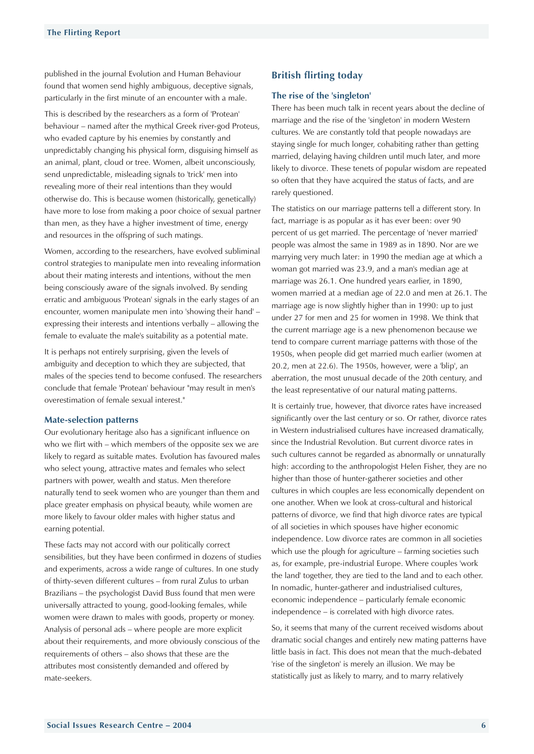<span id="page-4-0"></span>published in the journal Evolution and Human Behaviour found that women send highly ambiguous, deceptive signals, particularly in the first minute of an encounter with a male.

This is described by the researchers as a form of 'Protean' behaviour – named after the mythical Greek river-god Proteus, who evaded capture by his enemies by constantly and unpredictably changing his physical form, disguising himself as an animal, plant, cloud or tree. Women, albeit unconsciously, send unpredictable, misleading signals to 'trick' men into revealing more of their real intentions than they would otherwise do. This is because women (historically, genetically) have more to lose from making a poor choice of sexual partner than men, as they have a higher investment of time, energy and resources in the offspring of such matings.

Women, according to the researchers, have evolved subliminal control strategies to manipulate men into revealing information about their mating interests and intentions, without the men being consciously aware of the signals involved. By sending erratic and ambiguous 'Protean' signals in the early stages of an encounter, women manipulate men into 'showing their hand' – expressing their interests and intentions verbally – allowing the female to evaluate the male's suitability as a potential mate.

It is perhaps not entirely surprising, given the levels of ambiguity and deception to which they are subjected, that males of the species tend to become confused. The researchers conclude that female 'Protean' behaviour "may result in men's overestimation of female sexual interest."

## **Mate-selection patterns**

Our evolutionary heritage also has a significant influence on who we flirt with – which members of the opposite sex we are likely to regard as suitable mates. Evolution has favoured males who select young, attractive mates and females who select partners with power, wealth and status. Men therefore naturally tend to seek women who are younger than them and place greater emphasis on physical beauty, while women are more likely to favour older males with higher status and earning potential.

These facts may not accord with our politically correct sensibilities, but they have been confirmed in dozens of studies and experiments, across a wide range of cultures. In one study of thirty-seven different cultures – from rural Zulus to urban Brazilians – the psychologist David Buss found that men were universally attracted to young, good-looking females, while women were drawn to males with goods, property or money. Analysis of personal ads – where people are more explicit about their requirements, and more obviously conscious of the requirements of others – also shows that these are the attributes most consistently demanded and offered by mate-seekers.

# **British flirting today**

## **The rise of the 'singleton'**

There has been much talk in recent years about the decline of marriage and the rise of the 'singleton' in modern Western cultures. We are constantly told that people nowadays are staying single for much longer, cohabiting rather than getting married, delaying having children until much later, and more likely to divorce. These tenets of popular wisdom are repeated so often that they have acquired the status of facts, and are rarely questioned.

The statistics on our marriage patterns tell a different story. In fact, marriage is as popular as it has ever been: over 90 percent of us get married. The percentage of 'never married' people was almost the same in 1989 as in 1890. Nor are we marrying very much later: in 1990 the median age at which a woman got married was 23.9, and a man's median age at marriage was 26.1. One hundred years earlier, in 1890, women married at a median age of 22.0 and men at 26.1. The marriage age is now slightly higher than in 1990: up to just under 27 for men and 25 for women in 1998. We think that the current marriage age is a new phenomenon because we tend to compare current marriage patterns with those of the 1950s, when people did get married much earlier (women at 20.2, men at 22.6). The 1950s, however, were a 'blip', an aberration, the most unusual decade of the 20th century, and the least representative of our natural mating patterns.

It is certainly true, however, that divorce rates have increased significantly over the last century or so. Or rather, divorce rates in Western industrialised cultures have increased dramatically, since the Industrial Revolution. But current divorce rates in such cultures cannot be regarded as abnormally or unnaturally high: according to the anthropologist Helen Fisher, they are no higher than those of hunter-gatherer societies and other cultures in which couples are less economically dependent on one another. When we look at cross-cultural and historical patterns of divorce, we find that high divorce rates are typical of all societies in which spouses have higher economic independence. Low divorce rates are common in all societies which use the plough for agriculture – farming societies such as, for example, pre-industrial Europe. Where couples 'work the land' together, they are tied to the land and to each other. In nomadic, hunter-gatherer and industrialised cultures, economic independence – particularly female economic independence – is correlated with high divorce rates.

So, it seems that many of the current received wisdoms about dramatic social changes and entirely new mating patterns have little basis in fact. This does not mean that the much-debated 'rise of the singleton' is merely an illusion. We may be statistically just as likely to marry, and to marry relatively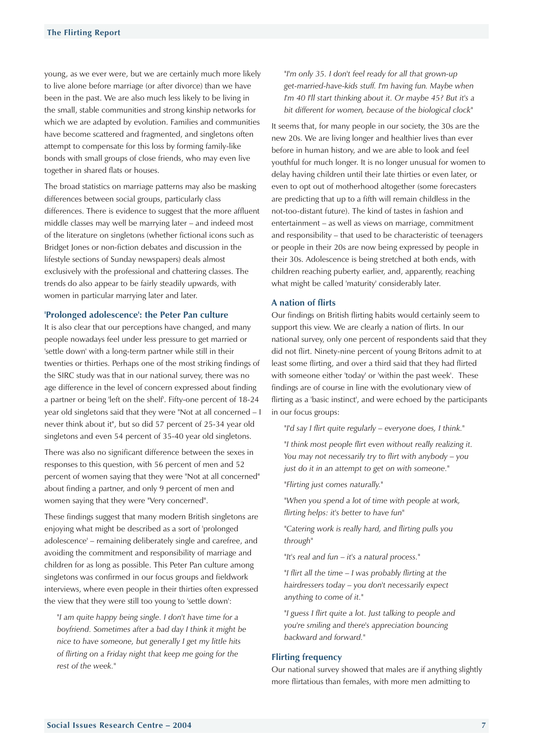<span id="page-5-0"></span>young, as we ever were, but we are certainly much more likely to live alone before marriage (or after divorce) than we have been in the past. We are also much less likely to be living in the small, stable communities and strong kinship networks for which we are adapted by evolution. Families and communities have become scattered and fragmented, and singletons often attempt to compensate for this loss by forming family-like bonds with small groups of close friends, who may even live together in shared flats or houses.

The broad statistics on marriage patterns may also be masking differences between social groups, particularly class differences. There is evidence to suggest that the more affluent middle classes may well be marrying later – and indeed most of the literature on singletons (whether fictional icons such as Bridget Jones or non-fiction debates and discussion in the lifestyle sections of Sunday newspapers) deals almost exclusively with the professional and chattering classes. The trends do also appear to be fairly steadily upwards, with women in particular marrying later and later.

#### **'Prolonged adolescence': the Peter Pan culture**

It is also clear that our perceptions have changed, and many people nowadays feel under less pressure to get married or 'settle down' with a long-term partner while still in their twenties or thirties. Perhaps one of the most striking findings of the SIRC study was that in our national survey, there was no age difference in the level of concern expressed about finding a partner or being 'left on the shelf'. Fifty-one percent of 18-24 year old singletons said that they were "Not at all concerned – I never think about it", but so did 57 percent of 25-34 year old singletons and even 54 percent of 35-40 year old singletons.

There was also no significant difference between the sexes in responses to this question, with 56 percent of men and 52 percent of women saying that they were "Not at all concerned" about finding a partner, and only 9 percent of men and women saying that they were "Very concerned".

These findings suggest that many modern British singletons are enjoying what might be described as a sort of 'prolonged adolescence' – remaining deliberately single and carefree, and avoiding the commitment and responsibility of marriage and children for as long as possible. This Peter Pan culture among singletons was confirmed in our focus groups and fieldwork interviews, where even people in their thirties often expressed the view that they were still too young to 'settle down':

*"I am quite happy being single. I don't have time for a boyfriend. Sometimes after a bad day I think it might be nice to have someone, but generally I get my little hits of flirting on a Friday night that keep me going for the rest of the week."*

*"I'm only 35. I don't feel ready for all that grown-up get-married-have-kids stuff. I'm having fun. Maybe when I'm 40 I'll start thinking about it. Or maybe 45? But it's a bit different for women, because of the biological clock"*

It seems that, for many people in our society, the 30s are the new 20s. We are living longer and healthier lives than ever before in human history, and we are able to look and feel youthful for much longer. It is no longer unusual for women to delay having children until their late thirties or even later, or even to opt out of motherhood altogether (some forecasters are predicting that up to a fifth will remain childless in the not-too-distant future). The kind of tastes in fashion and entertainment – as well as views on marriage, commitment and responsibility – that used to be characteristic of teenagers or people in their 20s are now being expressed by people in their 30s. Adolescence is being stretched at both ends, with children reaching puberty earlier, and, apparently, reaching what might be called 'maturity' considerably later.

#### **A nation of flirts**

Our findings on British flirting habits would certainly seem to support this view. We are clearly a nation of flirts. In our national survey, only one percent of respondents said that they did not flirt. Ninety-nine percent of young Britons admit to at least some flirting, and over a third said that they had flirted with someone either 'today' or 'within the past week'. These findings are of course in line with the evolutionary view of flirting as a 'basic instinct', and were echoed by the participants in our focus groups:

*"I'd say I flirt quite regularly – everyone does, I think."*

*"I think most people flirt even without really realizing it. You may not necessarily try to flirt with anybody – you just do it in an attempt to get on with someone."*

*"Flirting just comes naturally."*

*"When you spend a lot of time with people at work, flirting helps: it's better to have fun"*

*"Catering work is really hard, and flirting pulls you through"*

*"It's real and fun – it's a natural process."*

*"I flirt all the time – I was probably flirting at the hairdressers today – you don't necessarily expect anything to come of it."*

*"I guess I flirt quite a lot. Just talking to people and you're smiling and there's appreciation bouncing backward and forward."*

## **Flirting frequency**

Our national survey showed that males are if anything slightly more flirtatious than females, with more men admitting to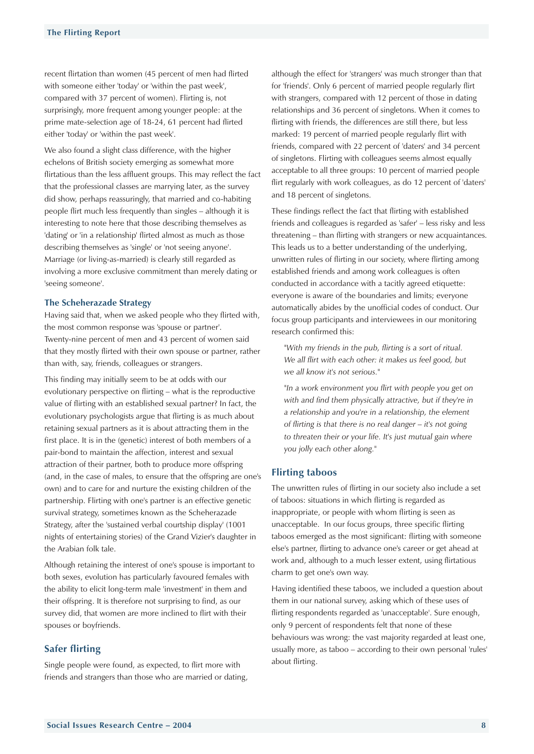<span id="page-6-0"></span>recent flirtation than women (45 percent of men had flirted with someone either 'today' or 'within the past week', compared with 37 percent of women). Flirting is, not surprisingly, more frequent among younger people: at the prime mate-selection age of 18-24, 61 percent had flirted either 'today' or 'within the past week'.

We also found a slight class difference, with the higher echelons of British society emerging as somewhat more flirtatious than the less affluent groups. This may reflect the fact that the professional classes are marrying later, as the survey did show, perhaps reassuringly, that married and co-habiting people flirt much less frequently than singles – although it is interesting to note here that those describing themselves as 'dating' or 'in a relationship' flirted almost as much as those describing themselves as 'single' or 'not seeing anyone'. Marriage (or living-as-married) is clearly still regarded as involving a more exclusive commitment than merely dating or 'seeing someone'.

#### **The Scheherazade Strategy**

Having said that, when we asked people who they flirted with, the most common response was 'spouse or partner'. Twenty-nine percent of men and 43 percent of women said that they mostly flirted with their own spouse or partner, rather than with, say, friends, colleagues or strangers.

This finding may initially seem to be at odds with our evolutionary perspective on flirting – what is the reproductive value of flirting with an established sexual partner? In fact, the evolutionary psychologists argue that flirting is as much about retaining sexual partners as it is about attracting them in the first place. It is in the (genetic) interest of both members of a pair-bond to maintain the affection, interest and sexual attraction of their partner, both to produce more offspring (and, in the case of males, to ensure that the offspring are one's own) and to care for and nurture the existing children of the partnership. Flirting with one's partner is an effective genetic survival strategy, sometimes known as the Scheherazade Strategy, after the 'sustained verbal courtship display' (1001 nights of entertaining stories) of the Grand Vizier's daughter in the Arabian folk tale.

Although retaining the interest of one's spouse is important to both sexes, evolution has particularly favoured females with the ability to elicit long-term male 'investment' in them and their offspring. It is therefore not surprising to find, as our survey did, that women are more inclined to flirt with their spouses or boyfriends.

# **Safer flirting**

Single people were found, as expected, to flirt more with friends and strangers than those who are married or dating, although the effect for 'strangers' was much stronger than that for 'friends'. Only 6 percent of married people regularly flirt with strangers, compared with 12 percent of those in dating relationships and 36 percent of singletons. When it comes to flirting with friends, the differences are still there, but less marked: 19 percent of married people regularly flirt with friends, compared with 22 percent of 'daters' and 34 percent of singletons. Flirting with colleagues seems almost equally acceptable to all three groups: 10 percent of married people flirt regularly with work colleagues, as do 12 percent of 'daters' and 18 percent of singletons.

These findings reflect the fact that flirting with established friends and colleagues is regarded as 'safer' – less risky and less threatening – than flirting with strangers or new acquaintances. This leads us to a better understanding of the underlying, unwritten rules of flirting in our society, where flirting among established friends and among work colleagues is often conducted in accordance with a tacitly agreed etiquette: everyone is aware of the boundaries and limits; everyone automatically abides by the unofficial codes of conduct. Our focus group participants and interviewees in our monitoring research confirmed this:

*"With my friends in the pub, flirting is a sort of ritual. We all flirt with each other: it makes us feel good, but we all know it's not serious."*

*"In a work environment you flirt with people you get on with and find them physically attractive, but if they're in a relationship and you're in a relationship, the element of flirting is that there is no real danger – it's not going to threaten their or your life. It's just mutual gain where you jolly each other along."*

## **Flirting taboos**

The unwritten rules of flirting in our society also include a set of taboos: situations in which flirting is regarded as inappropriate, or people with whom flirting is seen as unacceptable. In our focus groups, three specific flirting taboos emerged as the most significant: flirting with someone else's partner, flirting to advance one's career or get ahead at work and, although to a much lesser extent, using flirtatious charm to get one's own way.

Having identified these taboos, we included a question about them in our national survey, asking which of these uses of flirting respondents regarded as 'unacceptable'. Sure enough, only 9 percent of respondents felt that none of these behaviours was wrong: the vast majority regarded at least one, usually more, as taboo – according to their own personal 'rules' about flirting.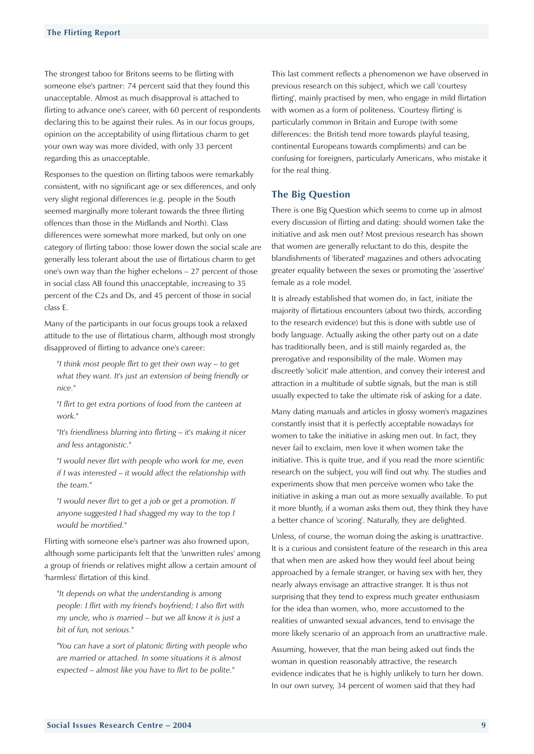<span id="page-7-0"></span>The strongest taboo for Britons seems to be flirting with someone else's partner: 74 percent said that they found this unacceptable. Almost as much disapproval is attached to flirting to advance one's career, with 60 percent of respondents declaring this to be against their rules. As in our focus groups, opinion on the acceptability of using flirtatious charm to get your own way was more divided, with only 33 percent regarding this as unacceptable.

Responses to the question on flirting taboos were remarkably consistent, with no significant age or sex differences, and only very slight regional differences (e.g. people in the South seemed marginally more tolerant towards the three flirting offences than those in the Midlands and North). Class differences were somewhat more marked, but only on one category of flirting taboo: those lower down the social scale are generally less tolerant about the use of flirtatious charm to get one's own way than the higher echelons – 27 percent of those in social class AB found this unacceptable, increasing to 35 percent of the C2s and Ds, and 45 percent of those in social class E.

Many of the participants in our focus groups took a relaxed attitude to the use of flirtatious charm, although most strongly disapproved of flirting to advance one's career:

*"I think most people flirt to get their own way – to get what they want. It's just an extension of being friendly or nice."*

*"I flirt to get extra portions of food from the canteen at work."*

*"It's friendliness blurring into flirting – it's making it nicer and less antagonistic."*

*"I would never flirt with people who work for me, even if I was interested – it would affect the relationship with the team."*

*"I would never flirt to get a job or get a promotion. If anyone suggested I had shagged my way to the top I would be mortified."*

Flirting with someone else's partner was also frowned upon, although some participants felt that the 'unwritten rules' among a group of friends or relatives might allow a certain amount of 'harmless' flirtation of this kind.

*"It depends on what the understanding is among people: I flirt with my friend's boyfriend; I also flirt with my uncle, who is married – but we all know it is just a bit of fun, not serious."*

*"You can have a sort of platonic flirting with people who are married or attached. In some situations it is almost expected – almost like you have to flirt to be polite."*

This last comment reflects a phenomenon we have observed in previous research on this subject, which we call 'courtesy flirting', mainly practised by men, who engage in mild flirtation with women as a form of politeness. 'Courtesy flirting' is particularly common in Britain and Europe (with some differences: the British tend more towards playful teasing, continental Europeans towards compliments) and can be confusing for foreigners, particularly Americans, who mistake it for the real thing.

# **The Big Question**

There is one Big Question which seems to come up in almost every discussion of flirting and dating: should women take the initiative and ask men out? Most previous research has shown that women are generally reluctant to do this, despite the blandishments of 'liberated' magazines and others advocating greater equality between the sexes or promoting the 'assertive' female as a role model.

It is already established that women do, in fact, initiate the majority of flirtatious encounters (about two thirds, according to the research evidence) but this is done with subtle use of body language. Actually asking the other party out on a date has traditionally been, and is still mainly regarded as, the prerogative and responsibility of the male. Women may discreetly 'solicit' male attention, and convey their interest and attraction in a multitude of subtle signals, but the man is still usually expected to take the ultimate risk of asking for a date.

Many dating manuals and articles in glossy women's magazines constantly insist that it is perfectly acceptable nowadays for women to take the initiative in asking men out. In fact, they never fail to exclaim, men love it when women take the initiative. This is quite true, and if you read the more scientific research on the subject, you will find out why. The studies and experiments show that men perceive women who take the initiative in asking a man out as more sexually available. To put it more bluntly, if a woman asks them out, they think they have a better chance of 'scoring'. Naturally, they are delighted.

Unless, of course, the woman doing the asking is unattractive. It is a curious and consistent feature of the research in this area that when men are asked how they would feel about being approached by a female stranger, or having sex with her, they nearly always envisage an attractive stranger. It is thus not surprising that they tend to express much greater enthusiasm for the idea than women, who, more accustomed to the realities of unwanted sexual advances, tend to envisage the more likely scenario of an approach from an unattractive male.

Assuming, however, that the man being asked out finds the woman in question reasonably attractive, the research evidence indicates that he is highly unlikely to turn her down. In our own survey, 34 percent of women said that they had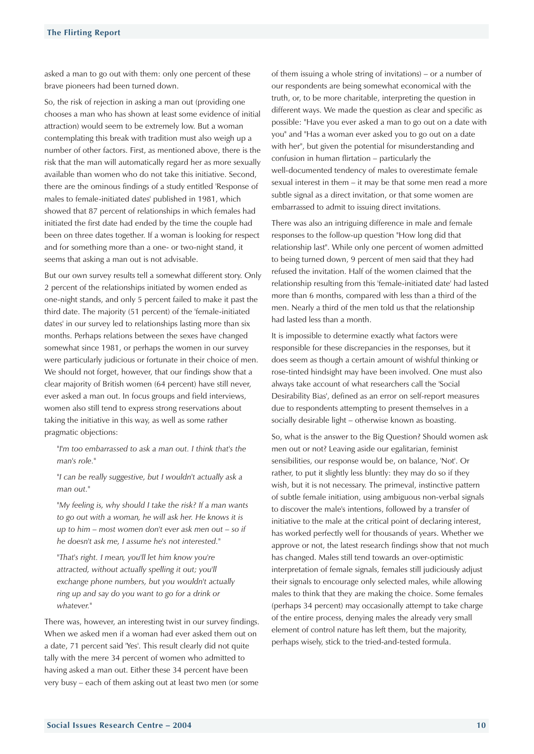asked a man to go out with them: only one percent of these brave pioneers had been turned down.

So, the risk of rejection in asking a man out (providing one chooses a man who has shown at least some evidence of initial attraction) would seem to be extremely low. But a woman contemplating this break with tradition must also weigh up a number of other factors. First, as mentioned above, there is the risk that the man will automatically regard her as more sexually available than women who do not take this initiative. Second, there are the ominous findings of a study entitled 'Response of males to female-initiated dates' published in 1981, which showed that 87 percent of relationships in which females had initiated the first date had ended by the time the couple had been on three dates together. If a woman is looking for respect and for something more than a one- or two-night stand, it seems that asking a man out is not advisable.

But our own survey results tell a somewhat different story. Only 2 percent of the relationships initiated by women ended as one-night stands, and only 5 percent failed to make it past the third date. The majority (51 percent) of the 'female-initiated dates' in our survey led to relationships lasting more than six months. Perhaps relations between the sexes have changed somewhat since 1981, or perhaps the women in our survey were particularly judicious or fortunate in their choice of men. We should not forget, however, that our findings show that a clear majority of British women (64 percent) have still never, ever asked a man out. In focus groups and field interviews, women also still tend to express strong reservations about taking the initiative in this way, as well as some rather pragmatic objections:

*"I'm too embarrassed to ask a man out. I think that's the man's role."*

*"I can be really suggestive, but I wouldn't actually ask a man out."*

*"My feeling is, why should I take the risk? If a man wants to go out with a woman, he will ask her. He knows it is up to him – most women don't ever ask men out – so if he doesn't ask me, I assume he's not interested."*

*"That's right. I mean, you'll let him know you're attracted, without actually spelling it out; you'll exchange phone numbers, but you wouldn't actually ring up and say do you want to go for a drink or whatever."*

There was, however, an interesting twist in our survey findings. When we asked men if a woman had ever asked them out on a date, 71 percent said 'Yes'. This result clearly did not quite tally with the mere 34 percent of women who admitted to having asked a man out. Either these 34 percent have been very busy – each of them asking out at least two men (or some of them issuing a whole string of invitations) – or a number of our respondents are being somewhat economical with the truth, or, to be more charitable, interpreting the question in different ways. We made the question as clear and specific as possible: "Have you ever asked a man to go out on a date with you" and "Has a woman ever asked you to go out on a date with her", but given the potential for misunderstanding and confusion in human flirtation – particularly the well-documented tendency of males to overestimate female sexual interest in them – it may be that some men read a more subtle signal as a direct invitation, or that some women are embarrassed to admit to issuing direct invitations.

There was also an intriguing difference in male and female responses to the follow-up question "How long did that relationship last". While only one percent of women admitted to being turned down, 9 percent of men said that they had refused the invitation. Half of the women claimed that the relationship resulting from this 'female-initiated date' had lasted more than 6 months, compared with less than a third of the men. Nearly a third of the men told us that the relationship had lasted less than a month.

It is impossible to determine exactly what factors were responsible for these discrepancies in the responses, but it does seem as though a certain amount of wishful thinking or rose-tinted hindsight may have been involved. One must also always take account of what researchers call the 'Social Desirability Bias', defined as an error on self-report measures due to respondents attempting to present themselves in a socially desirable light – otherwise known as boasting.

So, what is the answer to the Big Question? Should women ask men out or not? Leaving aside our egalitarian, feminist sensibilities, our response would be, on balance, 'Not'. Or rather, to put it slightly less bluntly: they may do so if they wish, but it is not necessary. The primeval, instinctive pattern of subtle female initiation, using ambiguous non-verbal signals to discover the male's intentions, followed by a transfer of initiative to the male at the critical point of declaring interest, has worked perfectly well for thousands of years. Whether we approve or not, the latest research findings show that not much has changed. Males still tend towards an over-optimistic interpretation of female signals, females still judiciously adjust their signals to encourage only selected males, while allowing males to think that they are making the choice. Some females (perhaps 34 percent) may occasionally attempt to take charge of the entire process, denying males the already very small element of control nature has left them, but the majority, perhaps wisely, stick to the tried-and-tested formula.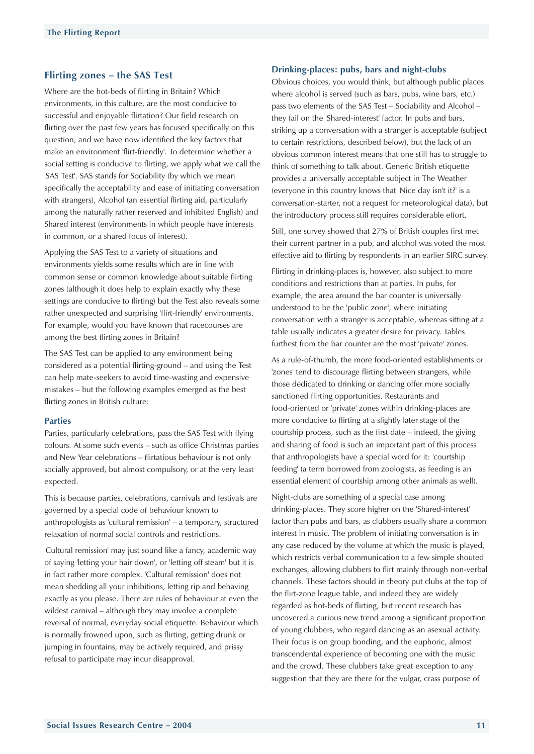## <span id="page-9-0"></span>**Flirting zones – the SAS Test**

Where are the hot-beds of flirting in Britain? Which environments, in this culture, are the most conducive to successful and enjoyable flirtation? Our field research on flirting over the past few years has focused specifically on this question, and we have now identified the key factors that make an environment 'flirt-friendly'. To determine whether a social setting is conducive to flirting, we apply what we call the 'SAS Test'. SAS stands for Sociability (by which we mean specifically the acceptability and ease of initiating conversation with strangers), Alcohol (an essential flirting aid, particularly among the naturally rather reserved and inhibited English) and Shared interest (environments in which people have interests in common, or a shared focus of interest).

Applying the SAS Test to a variety of situations and environments yields some results which are in line with common sense or common knowledge about suitable flirting zones (although it does help to explain exactly why these settings are conducive to flirting) but the Test also reveals some rather unexpected and surprising 'flirt-friendly' environments. For example, would you have known that racecourses are among the best flirting zones in Britain?

The SAS Test can be applied to any environment being considered as a potential flirting-ground – and using the Test can help mate-seekers to avoid time-wasting and expensive mistakes – but the following examples emerged as the best flirting zones in British culture:

#### **Parties**

Parties, particularly celebrations, pass the SAS Test with flying colours. At some such events – such as office Christmas parties and New Year celebrations – flirtatious behaviour is not only socially approved, but almost compulsory, or at the very least expected.

This is because parties, celebrations, carnivals and festivals are governed by a special code of behaviour known to anthropologists as 'cultural remission' – a temporary, structured relaxation of normal social controls and restrictions.

'Cultural remission' may just sound like a fancy, academic way of saying 'letting your hair down', or 'letting off steam' but it is in fact rather more complex. 'Cultural remission' does not mean shedding all your inhibitions, letting rip and behaving exactly as you please. There are rules of behaviour at even the wildest carnival – although they may involve a complete reversal of normal, everyday social etiquette. Behaviour which is normally frowned upon, such as flirting, getting drunk or jumping in fountains, may be actively required, and prissy refusal to participate may incur disapproval.

### **Drinking-places: pubs, bars and night-clubs**

Obvious choices, you would think, but although public places where alcohol is served (such as bars, pubs, wine bars, etc.) pass two elements of the SAS Test – Sociability and Alcohol – they fail on the 'Shared-interest' factor. In pubs and bars, striking up a conversation with a stranger is acceptable (subject to certain restrictions, described below), but the lack of an obvious common interest means that one still has to struggle to think of something to talk about. Generic British etiquette provides a universally acceptable subject in The Weather (everyone in this country knows that 'Nice day isn't it?' is a conversation-starter, not a request for meteorological data), but the introductory process still requires considerable effort.

Still, one survey showed that 27% of British couples first met their current partner in a pub, and alcohol was voted the most effective aid to flirting by respondents in an earlier SIRC survey.

Flirting in drinking-places is, however, also subject to more conditions and restrictions than at parties. In pubs, for example, the area around the bar counter is universally understood to be the 'public zone', where initiating conversation with a stranger is acceptable, whereas sitting at a table usually indicates a greater desire for privacy. Tables furthest from the bar counter are the most 'private' zones.

As a rule-of-thumb, the more food-oriented establishments or 'zones' tend to discourage flirting between strangers, while those dedicated to drinking or dancing offer more socially sanctioned flirting opportunities. Restaurants and food-oriented or 'private' zones within drinking-places are more conducive to flirting at a slightly later stage of the courtship process, such as the first date – indeed, the giving and sharing of food is such an important part of this process that anthropologists have a special word for it: 'courtship feeding' (a term borrowed from zoologists, as feeding is an essential element of courtship among other animals as well).

Night-clubs are something of a special case among drinking-places. They score higher on the 'Shared-interest' factor than pubs and bars, as clubbers usually share a common interest in music. The problem of initiating conversation is in any case reduced by the volume at which the music is played, which restricts verbal communication to a few simple shouted exchanges, allowing clubbers to flirt mainly through non-verbal channels. These factors should in theory put clubs at the top of the flirt-zone league table, and indeed they are widely regarded as hot-beds of flirting, but recent research has uncovered a curious new trend among a significant proportion of young clubbers, who regard dancing as an asexual activity. Their focus is on group bonding, and the euphoric, almost transcendental experience of becoming one with the music and the crowd. These clubbers take great exception to any suggestion that they are there for the vulgar, crass purpose of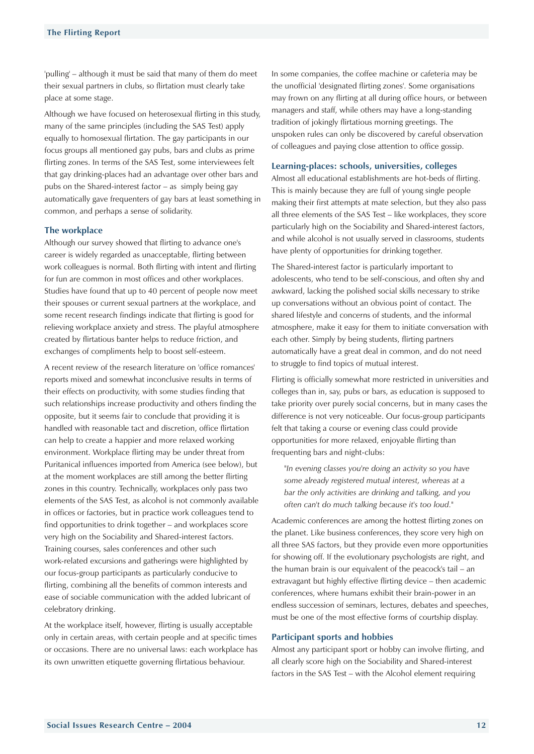<span id="page-10-0"></span>'pulling' – although it must be said that many of them do meet their sexual partners in clubs, so flirtation must clearly take place at some stage.

Although we have focused on heterosexual flirting in this study, many of the same principles (including the SAS Test) apply equally to homosexual flirtation. The gay participants in our focus groups all mentioned gay pubs, bars and clubs as prime flirting zones. In terms of the SAS Test, some interviewees felt that gay drinking-places had an advantage over other bars and pubs on the Shared-interest factor – as simply being gay automatically gave frequenters of gay bars at least something in common, and perhaps a sense of solidarity.

## **The workplace**

Although our survey showed that flirting to advance one's career is widely regarded as unacceptable, flirting between work colleagues is normal. Both flirting with intent and flirting for fun are common in most offices and other workplaces. Studies have found that up to 40 percent of people now meet their spouses or current sexual partners at the workplace, and some recent research findings indicate that flirting is good for relieving workplace anxiety and stress. The playful atmosphere created by flirtatious banter helps to reduce friction, and exchanges of compliments help to boost self-esteem.

A recent review of the research literature on 'office romances' reports mixed and somewhat inconclusive results in terms of their effects on productivity, with some studies finding that such relationships increase productivity and others finding the opposite, but it seems fair to conclude that providing it is handled with reasonable tact and discretion, office flirtation can help to create a happier and more relaxed working environment. Workplace flirting may be under threat from Puritanical influences imported from America (see below), but at the moment workplaces are still among the better flirting zones in this country. Technically, workplaces only pass two elements of the SAS Test, as alcohol is not commonly available in offices or factories, but in practice work colleagues tend to find opportunities to drink together – and workplaces score very high on the Sociability and Shared-interest factors. Training courses, sales conferences and other such work-related excursions and gatherings were highlighted by our focus-group participants as particularly conducive to flirting, combining all the benefits of common interests and ease of sociable communication with the added lubricant of celebratory drinking.

At the workplace itself, however, flirting is usually acceptable only in certain areas, with certain people and at specific times or occasions. There are no universal laws: each workplace has its own unwritten etiquette governing flirtatious behaviour.

In some companies, the coffee machine or cafeteria may be the unofficial 'designated flirting zones'. Some organisations may frown on any flirting at all during office hours, or between managers and staff, while others may have a long-standing tradition of jokingly flirtatious morning greetings. The unspoken rules can only be discovered by careful observation of colleagues and paying close attention to office gossip.

#### **Learning-places: schools, universities, colleges**

Almost all educational establishments are hot-beds of flirting. This is mainly because they are full of young single people making their first attempts at mate selection, but they also pass all three elements of the SAS Test – like workplaces, they score particularly high on the Sociability and Shared-interest factors, and while alcohol is not usually served in classrooms, students have plenty of opportunities for drinking together.

The Shared-interest factor is particularly important to adolescents, who tend to be self-conscious, and often shy and awkward, lacking the polished social skills necessary to strike up conversations without an obvious point of contact. The shared lifestyle and concerns of students, and the informal atmosphere, make it easy for them to initiate conversation with each other. Simply by being students, flirting partners automatically have a great deal in common, and do not need to struggle to find topics of mutual interest.

Flirting is officially somewhat more restricted in universities and colleges than in, say, pubs or bars, as education is supposed to take priority over purely social concerns, but in many cases the difference is not very noticeable. Our focus-group participants felt that taking a course or evening class could provide opportunities for more relaxed, enjoyable flirting than frequenting bars and night-clubs:

*"In evening classes you're doing an activity so you have some already registered mutual interest, whereas at a bar the only activities are drinking and talking, and you often can't do much talking because it's too loud."*

Academic conferences are among the hottest flirting zones on the planet. Like business conferences, they score very high on all three SAS factors, but they provide even more opportunities for showing off. If the evolutionary psychologists are right, and the human brain is our equivalent of the peacock's tail – an extravagant but highly effective flirting device – then academic conferences, where humans exhibit their brain-power in an endless succession of seminars, lectures, debates and speeches, must be one of the most effective forms of courtship display.

#### **Participant sports and hobbies**

Almost any participant sport or hobby can involve flirting, and all clearly score high on the Sociability and Shared-interest factors in the SAS Test – with the Alcohol element requiring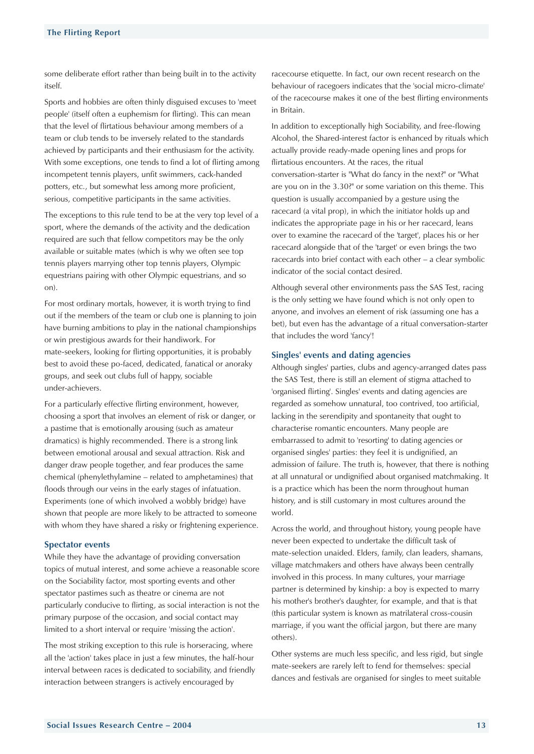<span id="page-11-0"></span>some deliberate effort rather than being built in to the activity itself.

Sports and hobbies are often thinly disguised excuses to 'meet people' (itself often a euphemism for flirting). This can mean that the level of flirtatious behaviour among members of a team or club tends to be inversely related to the standards achieved by participants and their enthusiasm for the activity. With some exceptions, one tends to find a lot of flirting among incompetent tennis players, unfit swimmers, cack-handed potters, etc., but somewhat less among more proficient, serious, competitive participants in the same activities.

The exceptions to this rule tend to be at the very top level of a sport, where the demands of the activity and the dedication required are such that fellow competitors may be the only available or suitable mates (which is why we often see top tennis players marrying other top tennis players, Olympic equestrians pairing with other Olympic equestrians, and so on).

For most ordinary mortals, however, it is worth trying to find out if the members of the team or club one is planning to join have burning ambitions to play in the national championships or win prestigious awards for their handiwork. For mate-seekers, looking for flirting opportunities, it is probably best to avoid these po-faced, dedicated, fanatical or anoraky groups, and seek out clubs full of happy, sociable under-achievers.

For a particularly effective flirting environment, however, choosing a sport that involves an element of risk or danger, or a pastime that is emotionally arousing (such as amateur dramatics) is highly recommended. There is a strong link between emotional arousal and sexual attraction. Risk and danger draw people together, and fear produces the same chemical (phenylethylamine – related to amphetamines) that floods through our veins in the early stages of infatuation. Experiments (one of which involved a wobbly bridge) have shown that people are more likely to be attracted to someone with whom they have shared a risky or frightening experience.

## **Spectator events**

While they have the advantage of providing conversation topics of mutual interest, and some achieve a reasonable score on the Sociability factor, most sporting events and other spectator pastimes such as theatre or cinema are not particularly conducive to flirting, as social interaction is not the primary purpose of the occasion, and social contact may limited to a short interval or require 'missing the action'.

The most striking exception to this rule is horseracing, where all the 'action' takes place in just a few minutes, the half-hour interval between races is dedicated to sociability, and friendly interaction between strangers is actively encouraged by

racecourse etiquette. In fact, our own recent research on the behaviour of racegoers indicates that the 'social micro-climate' of the racecourse makes it one of the best flirting environments in Britain.

In addition to exceptionally high Sociability, and free-flowing Alcohol, the Shared-interest factor is enhanced by rituals which actually provide ready-made opening lines and props for flirtatious encounters. At the races, the ritual conversation-starter is "What do fancy in the next?" or "What are you on in the 3.30?" or some variation on this theme. This question is usually accompanied by a gesture using the racecard (a vital prop), in which the initiator holds up and indicates the appropriate page in his or her racecard, leans over to examine the racecard of the 'target', places his or her racecard alongside that of the 'target' or even brings the two racecards into brief contact with each other – a clear symbolic indicator of the social contact desired.

Although several other environments pass the SAS Test, racing is the only setting we have found which is not only open to anyone, and involves an element of risk (assuming one has a bet), but even has the advantage of a ritual conversation-starter that includes the word 'fancy'!

#### **Singles' events and dating agencies**

Although singles' parties, clubs and agency-arranged dates pass the SAS Test, there is still an element of stigma attached to 'organised flirting'. Singles' events and dating agencies are regarded as somehow unnatural, too contrived, too artificial, lacking in the serendipity and spontaneity that ought to characterise romantic encounters. Many people are embarrassed to admit to 'resorting' to dating agencies or organised singles' parties: they feel it is undignified, an admission of failure. The truth is, however, that there is nothing at all unnatural or undignified about organised matchmaking. It is a practice which has been the norm throughout human history, and is still customary in most cultures around the world.

Across the world, and throughout history, young people have never been expected to undertake the difficult task of mate-selection unaided. Elders, family, clan leaders, shamans, village matchmakers and others have always been centrally involved in this process. In many cultures, your marriage partner is determined by kinship: a boy is expected to marry his mother's brother's daughter, for example, and that is that (this particular system is known as matrilateral cross-cousin marriage, if you want the official jargon, but there are many others).

Other systems are much less specific, and less rigid, but single mate-seekers are rarely left to fend for themselves: special dances and festivals are organised for singles to meet suitable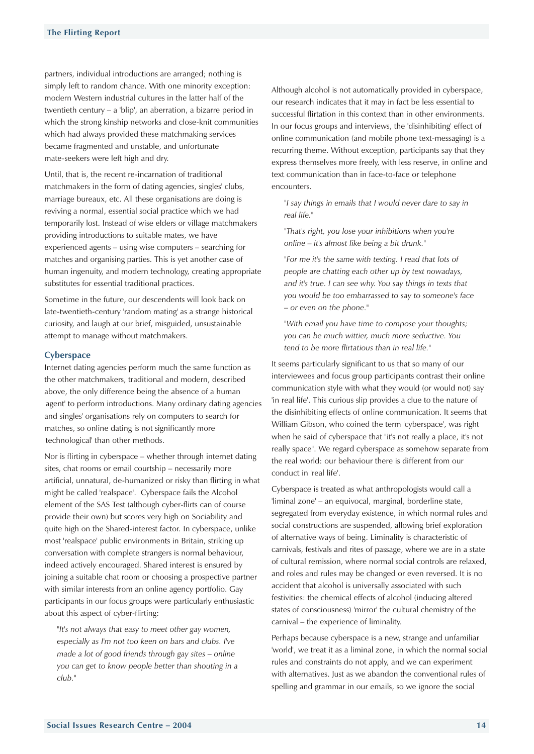<span id="page-12-0"></span>partners, individual introductions are arranged; nothing is simply left to random chance. With one minority exception: modern Western industrial cultures in the latter half of the twentieth century – a 'blip', an aberration, a bizarre period in which the strong kinship networks and close-knit communities which had always provided these matchmaking services became fragmented and unstable, and unfortunate mate-seekers were left high and dry.

Until, that is, the recent re-incarnation of traditional matchmakers in the form of dating agencies, singles' clubs, marriage bureaux, etc. All these organisations are doing is reviving a normal, essential social practice which we had temporarily lost. Instead of wise elders or village matchmakers providing introductions to suitable mates, we have experienced agents – using wise computers – searching for matches and organising parties. This is yet another case of human ingenuity, and modern technology, creating appropriate substitutes for essential traditional practices.

Sometime in the future, our descendents will look back on late-twentieth-century 'random mating' as a strange historical curiosity, and laugh at our brief, misguided, unsustainable attempt to manage without matchmakers.

#### **Cyberspace**

Internet dating agencies perform much the same function as the other matchmakers, traditional and modern, described above, the only difference being the absence of a human 'agent' to perform introductions. Many ordinary dating agencies and singles' organisations rely on computers to search for matches, so online dating is not significantly more 'technological' than other methods.

Nor is flirting in cyberspace – whether through internet dating sites, chat rooms or email courtship – necessarily more artificial, unnatural, de-humanized or risky than flirting in what might be called 'realspace'. Cyberspace fails the Alcohol element of the SAS Test (although cyber-flirts can of course provide their own) but scores very high on Sociability and quite high on the Shared-interest factor. In cyberspace, unlike most 'realspace' public environments in Britain, striking up conversation with complete strangers is normal behaviour, indeed actively encouraged. Shared interest is ensured by joining a suitable chat room or choosing a prospective partner with similar interests from an online agency portfolio. Gay participants in our focus groups were particularly enthusiastic about this aspect of cyber-flirting:

*"It's not always that easy to meet other gay women, especially as I'm not too keen on bars and clubs. I've made a lot of good friends through gay sites – online you can get to know people better than shouting in a club."* 

Although alcohol is not automatically provided in cyberspace, our research indicates that it may in fact be less essential to successful flirtation in this context than in other environments. In our focus groups and interviews, the 'disinhibiting' effect of online communication (and mobile phone text-messaging) is a recurring theme. Without exception, participants say that they express themselves more freely, with less reserve, in online and text communication than in face-to-face or telephone encounters.

*"I say things in emails that I would never dare to say in real life."*

*"That's right, you lose your inhibitions when you're online – it's almost like being a bit drunk."*

*"For me it's the same with texting. I read that lots of people are chatting each other up by text nowadays, and it's true. I can see why. You say things in texts that you would be too embarrassed to say to someone's face – or even on the phone."*

*"With email you have time to compose your thoughts; you can be much wittier, much more seductive. You tend to be more flirtatious than in real life."*

It seems particularly significant to us that so many of our interviewees and focus group participants contrast their online communication style with what they would (or would not) say 'in real life'. This curious slip provides a clue to the nature of the disinhibiting effects of online communication. It seems that William Gibson, who coined the term 'cyberspace', was right when he said of cyberspace that "it's not really a place, it's not really space". We regard cyberspace as somehow separate from the real world: our behaviour there is different from our conduct in 'real life'.

Cyberspace is treated as what anthropologists would call a 'liminal zone' – an equivocal, marginal, borderline state, segregated from everyday existence, in which normal rules and social constructions are suspended, allowing brief exploration of alternative ways of being. Liminality is characteristic of carnivals, festivals and rites of passage, where we are in a state of cultural remission, where normal social controls are relaxed, and roles and rules may be changed or even reversed. It is no accident that alcohol is universally associated with such festivities: the chemical effects of alcohol (inducing altered states of consciousness) 'mirror' the cultural chemistry of the carnival – the experience of liminality.

Perhaps because cyberspace is a new, strange and unfamiliar 'world', we treat it as a liminal zone, in which the normal social rules and constraints do not apply, and we can experiment with alternatives. Just as we abandon the conventional rules of spelling and grammar in our emails, so we ignore the social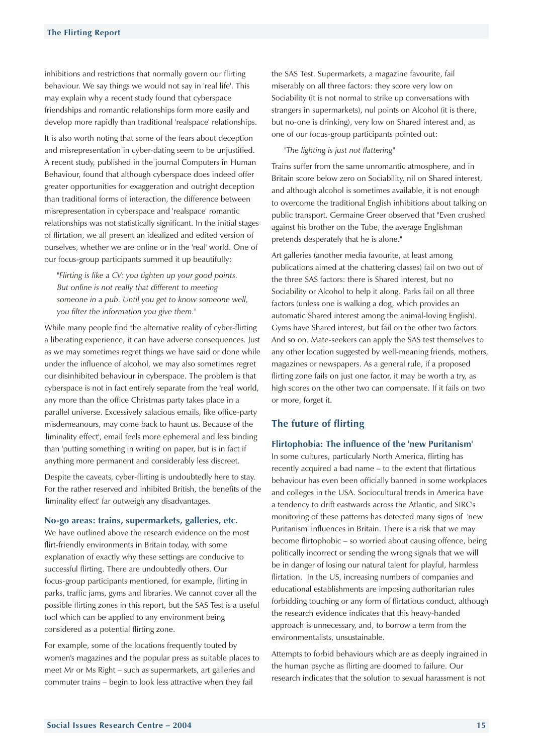<span id="page-13-0"></span>inhibitions and restrictions that normally govern our flirting behaviour. We say things we would not say in 'real life'. This may explain why a recent study found that cyberspace friendships and romantic relationships form more easily and develop more rapidly than traditional 'realspace' relationships.

It is also worth noting that some of the fears about deception and misrepresentation in cyber-dating seem to be unjustified. A recent study, published in the journal Computers in Human Behaviour, found that although cyberspace does indeed offer greater opportunities for exaggeration and outright deception than traditional forms of interaction, the difference between misrepresentation in cyberspace and 'realspace' romantic relationships was not statistically significant. In the initial stages of flirtation, we all present an idealized and edited version of ourselves, whether we are online or in the 'real' world. One of our focus-group participants summed it up beautifully:

*"Flirting is like a CV: you tighten up your good points. But online is not really that different to meeting someone in a pub. Until you get to know someone well, you filter the information you give them."*

While many people find the alternative reality of cyber-flirting a liberating experience, it can have adverse consequences. Just as we may sometimes regret things we have said or done while under the influence of alcohol, we may also sometimes regret our disinhibited behaviour in cyberspace. The problem is that cyberspace is not in fact entirely separate from the 'real' world, any more than the office Christmas party takes place in a parallel universe. Excessively salacious emails, like office-party misdemeanours, may come back to haunt us. Because of the 'liminality effect', email feels more ephemeral and less binding than 'putting something in writing' on paper, but is in fact if anything more permanent and considerably less discreet.

Despite the caveats, cyber-flirting is undoubtedly here to stay. For the rather reserved and inhibited British, the benefits of the 'liminality effect' far outweigh any disadvantages.

#### **No-go areas: trains, supermarkets, galleries, etc.**

We have outlined above the research evidence on the most flirt-friendly environments in Britain today, with some explanation of exactly why these settings are conducive to successful flirting. There are undoubtedly others. Our focus-group participants mentioned, for example, flirting in parks, traffic jams, gyms and libraries. We cannot cover all the possible flirting zones in this report, but the SAS Test is a useful tool which can be applied to any environment being considered as a potential flirting zone.

For example, some of the locations frequently touted by women's magazines and the popular press as suitable places to meet Mr or Ms Right – such as supermarkets, art galleries and commuter trains – begin to look less attractive when they fail

the SAS Test. Supermarkets, a magazine favourite, fail miserably on all three factors: they score very low on Sociability (it is not normal to strike up conversations with strangers in supermarkets), nul points on Alcohol (it is there, but no-one is drinking), very low on Shared interest and, as one of our focus-group participants pointed out:

#### *"The lighting is just not flattering"*

Trains suffer from the same unromantic atmosphere, and in Britain score below zero on Sociability, nil on Shared interest, and although alcohol is sometimes available, it is not enough to overcome the traditional English inhibitions about talking on public transport. Germaine Greer observed that "Even crushed against his brother on the Tube, the average Englishman pretends desperately that he is alone."

Art galleries (another media favourite, at least among publications aimed at the chattering classes) fail on two out of the three SAS factors: there is Shared interest, but no Sociability or Alcohol to help it along. Parks fail on all three factors (unless one is walking a dog, which provides an automatic Shared interest among the animal-loving English). Gyms have Shared interest, but fail on the other two factors. And so on. Mate-seekers can apply the SAS test themselves to any other location suggested by well-meaning friends, mothers, magazines or newspapers. As a general rule, if a proposed flirting zone fails on just one factor, it may be worth a try, as high scores on the other two can compensate. If it fails on two or more, forget it.

## **The future of flirting**

#### **Flirtophobia: The influence of the 'new Puritanism'**

In some cultures, particularly North America, flirting has recently acquired a bad name – to the extent that flirtatious behaviour has even been officially banned in some workplaces and colleges in the USA. Sociocultural trends in America have a tendency to drift eastwards across the Atlantic, and SIRC's monitoring of these patterns has detected many signs of 'new Puritanism' influences in Britain. There is a risk that we may become flirtophobic – so worried about causing offence, being politically incorrect or sending the wrong signals that we will be in danger of losing our natural talent for playful, harmless flirtation. In the US, increasing numbers of companies and educational establishments are imposing authoritarian rules forbidding touching or any form of flirtatious conduct, although the research evidence indicates that this heavy-handed approach is unnecessary, and, to borrow a term from the environmentalists, unsustainable.

Attempts to forbid behaviours which are as deeply ingrained in the human psyche as flirting are doomed to failure. Our research indicates that the solution to sexual harassment is not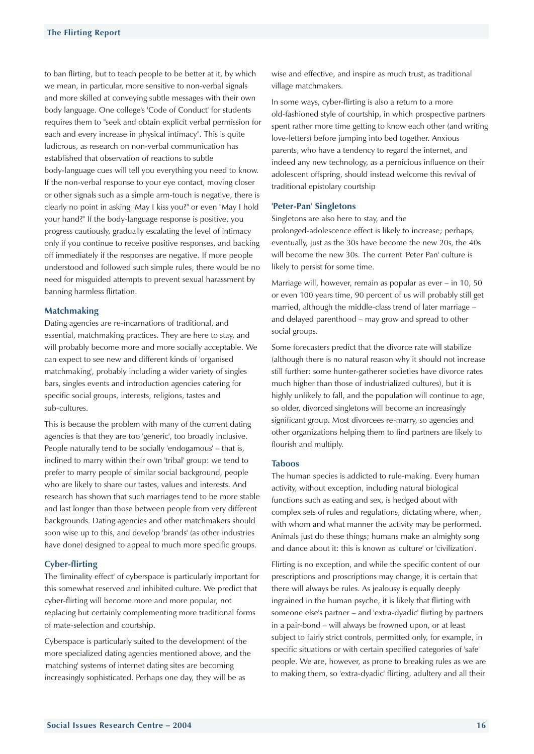<span id="page-14-0"></span>to ban flirting, but to teach people to be better at it, by which we mean, in particular, more sensitive to non-verbal signals and more skilled at conveying subtle messages with their own body language. One college's 'Code of Conduct' for students requires them to "seek and obtain explicit verbal permission for each and every increase in physical intimacy". This is quite ludicrous, as research on non-verbal communication has established that observation of reactions to subtle body-language cues will tell you everything you need to know. If the non-verbal response to your eye contact, moving closer or other signals such as a simple arm-touch is negative, there is clearly no point in asking "May I kiss you?" or even "May I hold your hand?" If the body-language response is positive, you progress cautiously, gradually escalating the level of intimacy only if you continue to receive positive responses, and backing off immediately if the responses are negative. If more people understood and followed such simple rules, there would be no need for misguided attempts to prevent sexual harassment by banning harmless flirtation.

#### **Matchmaking**

Dating agencies are re-incarnations of traditional, and essential, matchmaking practices. They are here to stay, and will probably become more and more socially acceptable. We can expect to see new and different kinds of 'organised matchmaking', probably including a wider variety of singles bars, singles events and introduction agencies catering for specific social groups, interests, religions, tastes and sub-cultures.

This is because the problem with many of the current dating agencies is that they are too 'generic', too broadly inclusive. People naturally tend to be socially 'endogamous' – that is, inclined to marry within their own 'tribal' group: we tend to prefer to marry people of similar social background, people who are likely to share our tastes, values and interests. And research has shown that such marriages tend to be more stable and last longer than those between people from very different backgrounds. Dating agencies and other matchmakers should soon wise up to this, and develop 'brands' (as other industries have done) designed to appeal to much more specific groups.

## **Cyber-flirting**

The 'liminality effect' of cyberspace is particularly important for this somewhat reserved and inhibited culture. We predict that cyber-flirting will become more and more popular, not replacing but certainly complementing more traditional forms of mate-selection and courtship.

Cyberspace is particularly suited to the development of the more specialized dating agencies mentioned above, and the 'matching' systems of internet dating sites are becoming increasingly sophisticated. Perhaps one day, they will be as

wise and effective, and inspire as much trust, as traditional village matchmakers.

In some ways, cyber-flirting is also a return to a more old-fashioned style of courtship, in which prospective partners spent rather more time getting to know each other (and writing love-letters) before jumping into bed together. Anxious parents, who have a tendency to regard the internet, and indeed any new technology, as a pernicious influence on their adolescent offspring, should instead welcome this revival of traditional epistolary courtship

#### **'Peter-Pan' Singletons**

Singletons are also here to stay, and the prolonged-adolescence effect is likely to increase; perhaps, eventually, just as the 30s have become the new 20s, the 40s will become the new 30s. The current 'Peter Pan' culture is likely to persist for some time.

Marriage will, however, remain as popular as ever – in 10, 50 or even 100 years time, 90 percent of us will probably still get married, although the middle-class trend of later marriage – and delayed parenthood – may grow and spread to other social groups.

Some forecasters predict that the divorce rate will stabilize (although there is no natural reason why it should not increase still further: some hunter-gatherer societies have divorce rates much higher than those of industrialized cultures), but it is highly unlikely to fall, and the population will continue to age, so older, divorced singletons will become an increasingly significant group. Most divorcees re-marry, so agencies and other organizations helping them to find partners are likely to flourish and multiply.

#### **Taboos**

The human species is addicted to rule-making. Every human activity, without exception, including natural biological functions such as eating and sex, is hedged about with complex sets of rules and regulations, dictating where, when, with whom and what manner the activity may be performed. Animals just do these things; humans make an almighty song and dance about it: this is known as 'culture' or 'civilization'.

Flirting is no exception, and while the specific content of our prescriptions and proscriptions may change, it is certain that there will always be rules. As jealousy is equally deeply ingrained in the human psyche, it is likely that flirting with someone else's partner – and 'extra-dyadic' flirting by partners in a pair-bond – will always be frowned upon, or at least subject to fairly strict controls, permitted only, for example, in specific situations or with certain specified categories of 'safe' people. We are, however, as prone to breaking rules as we are to making them, so 'extra-dyadic' flirting, adultery and all their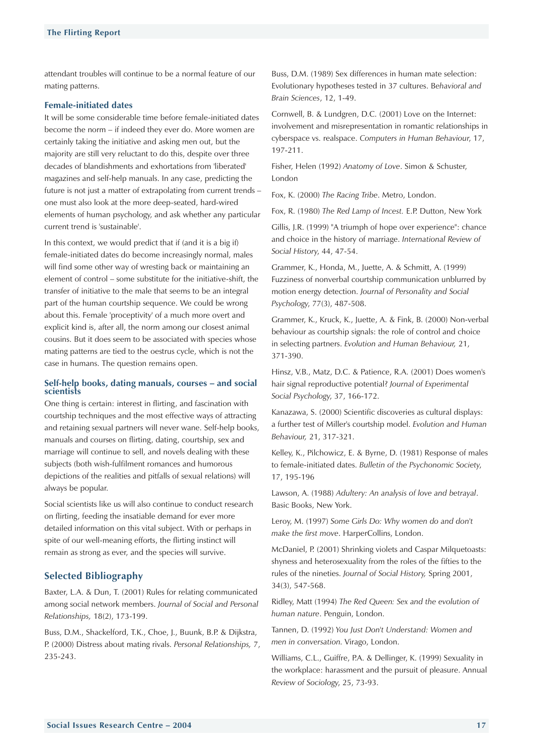<span id="page-15-0"></span>attendant troubles will continue to be a normal feature of our mating patterns.

## **Female-initiated dates**

It will be some considerable time before female-initiated dates become the norm – if indeed they ever do. More women are certainly taking the initiative and asking men out, but the majority are still very reluctant to do this, despite over three decades of blandishments and exhortations from 'liberated' magazines and self-help manuals. In any case, predicting the future is not just a matter of extrapolating from current trends – one must also look at the more deep-seated, hard-wired elements of human psychology, and ask whether any particular current trend is 'sustainable'.

In this context, we would predict that if (and it is a big if) female-initiated dates do become increasingly normal, males will find some other way of wresting back or maintaining an element of control – some substitute for the initiative-shift, the transfer of initiative to the male that seems to be an integral part of the human courtship sequence. We could be wrong about this. Female 'proceptivity' of a much more overt and explicit kind is, after all, the norm among our closest animal cousins. But it does seem to be associated with species whose mating patterns are tied to the oestrus cycle, which is not the case in humans. The question remains open.

#### **Self-help books, dating manuals, courses – and social scientists**

One thing is certain: interest in flirting, and fascination with courtship techniques and the most effective ways of attracting and retaining sexual partners will never wane. Self-help books, manuals and courses on flirting, dating, courtship, sex and marriage will continue to sell, and novels dealing with these subjects (both wish-fulfilment romances and humorous depictions of the realities and pitfalls of sexual relations) will always be popular.

Social scientists like us will also continue to conduct research on flirting, feeding the insatiable demand for ever more detailed information on this vital subject. With or perhaps in spite of our well-meaning efforts, the flirting instinct will remain as strong as ever, and the species will survive.

## **Selected Bibliography**

Baxter, L.A. & Dun, T. (2001) Rules for relating communicated among social network members. *Journal of Social and Personal Relationships,* 18(2), 173-199.

Buss, D.M., Shackelford, T.K., Choe, J., Buunk, B.P. & Dijkstra, P. (2000) Distress about mating rivals. *Personal Relationships,* 7, 235-243.

Buss, D.M. (1989) Sex differences in human mate selection: Evolutionary hypotheses tested in 37 cultures. B*ehavioral and Brain Sciences*, 12, 1-49.

Cornwell, B. & Lundgren, D.C. (2001) Love on the Internet: involvement and misrepresentation in romantic relationships in cyberspace vs. realspace. *Computers in Human Behaviour*, 17, 197-211.

Fisher, Helen (1992) *Anatomy of Love*. Simon & Schuster, London

Fox, K. (2000) *The Racing Tribe*. Metro, London.

Fox, R. (1980) *The Red Lamp of Incest.* E.P. Dutton, New York

Gillis, J.R. (1999) "A triumph of hope over experience": chance and choice in the history of marriage. *International Review of Social History*, 44, 47-54.

Grammer, K., Honda, M., Juette, A. & Schmitt, A. (1999) Fuzziness of nonverbal courtship communication unblurred by motion energy detection. *Journal of Personality and Social Psychology*, 77(3), 487-508.

Grammer, K., Kruck, K., Juette, A. & Fink, B. (2000) Non-verbal behaviour as courtship signals: the role of control and choice in selecting partners. *Evolution and Human Behaviour,* 21, 371-390.

Hinsz, V.B., Matz, D.C. & Patience, R.A. (2001) Does women's hair signal reproductive potential? *Journal of Experimental Social Psychology*, 37, 166-172.

Kanazawa, S. (2000) Scientific discoveries as cultural displays: a further test of Miller's courtship model. *Evolution and Human Behaviour,* 21, 317-321.

Kelley, K., Pilchowicz, E. & Byrne, D. (1981) Response of males to female-initiated dates. *Bulletin of the Psychonomic Society*, 17, 195-196

Lawson, A. (1988) *Adultery: An analysis of love and betrayal*. Basic Books, New York.

Leroy, M. (1997) *Some Girls Do: Why women do and don't make the first move*. HarperCollins, London.

McDaniel, P. (2001) Shrinking violets and Caspar Milquetoasts: shyness and heterosexuality from the roles of the fifties to the rules of the nineties. *Journal of Social History,* Spring 2001, 34(3), 547-568.

Ridley, Matt (1994) *The Red Queen: Sex and the evolution of human nature*. Penguin, London.

Tannen, D. (1992) *You Just Don't Understand: Women and men in conversation*. Virago, London.

Williams, C.L., Guiffre, P.A. & Dellinger, K. (1999) Sexuality in the workplace: harassment and the pursuit of pleasure. Annual *Review of Sociology*, 25, 73-93.